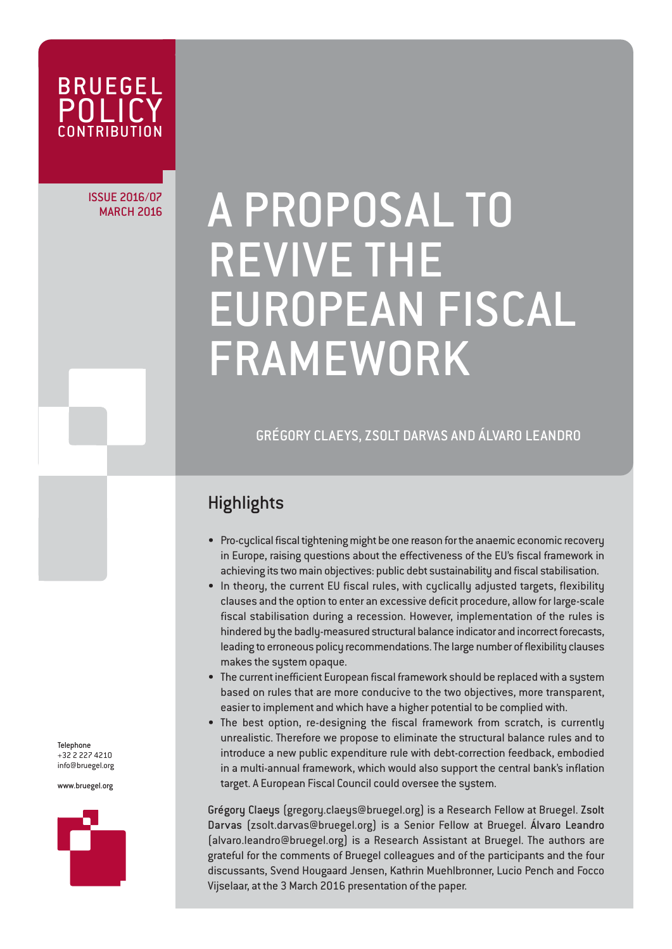

ISSUE 2016/07

# SUE 2016/07 A PROPOSAL TO REVIVE THE EUROPEAN FISCAL FRAMEWORK

GRÉGORY CLAEYS, ZSOLT DARVAS AND ÁLVARO LEANDRO

# **Highlights**

- Pro-cyclical fiscal tightening might be one reason for the anaemic economic recovery in Europe, raising questions about the effectiveness of the EU's fiscal framework in achieving its two main objectives: public debt sustainability and fiscal stabilisation.
- In theory, the current EU fiscal rules, with cyclically adjusted targets, flexibility clauses and the option to enter an excessive deficit procedure, allow for large-scale fiscal stabilisation during a recession. However, implementation of the rules is hindered by the badly-measured structural balance indicator and incorrect forecasts, leading to erroneous policy recommendations. The large number of flexibility clauses makes the system opaque.
- The current inefficient European fiscal framework should be replaced with a system based on rules that are more conducive to the two objectives, more transparent, easier to implement and which have a higher potential to be complied with.
- The best option, re-designing the fiscal framework from scratch, is currently unrealistic. Therefore we propose to eliminate the structural balance rules and to introduce a new public expenditure rule with debt-correction feedback, embodied in a multi-annual framework, which would also support the central bank's inflation target. A European Fiscal Council could oversee the system.

Grégory Claeys (gregory.claeys@bruegel.org) is a Research Fellow at Bruegel. Zsolt Darvas (zsolt.darvas@bruegel.org) is a Senior Fellow at Bruegel. Álvaro Leandro (alvaro.leandro@bruegel.org) is a Research Assistant at Bruegel. The authors are grateful for the comments of Bruegel colleagues and of the participants and the four discussants, Svend Hougaard Jensen, Kathrin Muehlbronner, Lucio Pench and Focco Vijselaar, at the 3 March 2016 presentation of the paper.

Telephone +32 2 227 4210 info@bruegel.org

www.bruegel.org

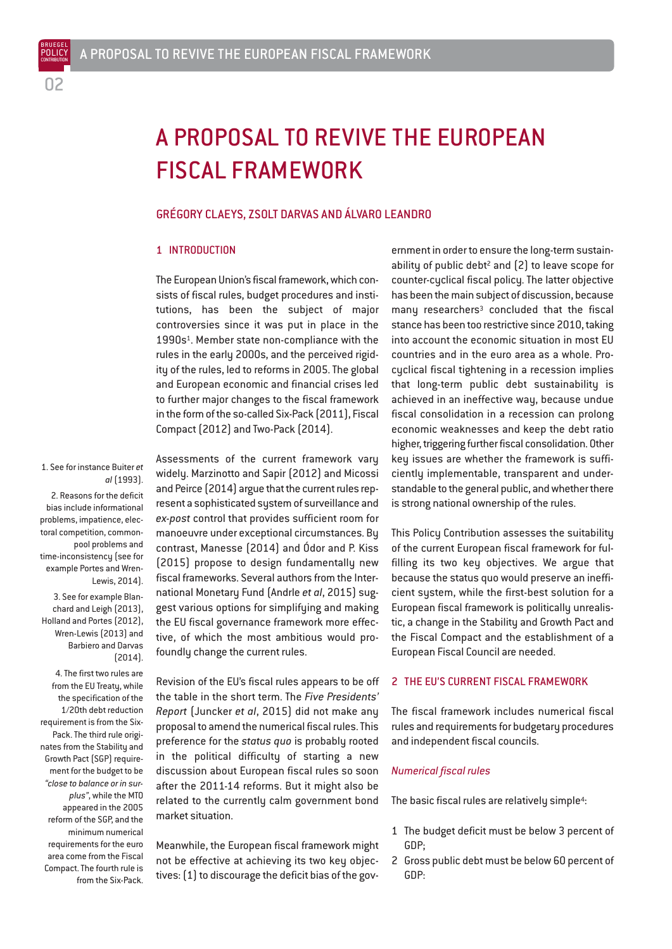BRUEGEL POLICY

# A PROPOSAL TO REVIVE THE EUROPEAN FISCAL FRAMEWORK

# GRÉGORY CLAEYS, ZSOLT DARVAS AND ÁLVARO LEANDRO

#### 1 INTRODUCTION

The European Union's fiscal framework, which consists of fiscal rules, budget procedures and institutions, has been the subject of major controversies since it was put in place in the 1990s1. Member state non-compliance with the rules in the early 2000s, and the perceived rigidity of the rules, led to reforms in 2005. The global and European economic and financial crises led to further major changes to the fiscal framework in the form of the so-called Six-Pack (2011), Fiscal Compact (2012) and Two-Pack (2014).

1. See for instance Buiter *et al* (1993).

2. Reasons for the deficit bias include informational problems, impatience, electoral competition, commonpool problems and time-inconsistency (see for example Portes and Wren-Lewis, 2014).

3. See for example Blanchard and Leigh (2013), Holland and Portes (2012), Wren-Lewis (2013) and Barbiero and Darvas (2014).

4. The first two rules are from the EU Treatu, while the specification of the 1/20th debt reduction requirement is from the Six-Pack. The third rule originates from the Stability and Growth Pact (SGP) requirement for the budget to be *"close to balance or in surplus"*, while the MTO appeared in the 2005 reform of the SGP, and the minimum numerical requirements for the euro area come from the Fiscal Compact. The fourth rule is from the Six-Pack.

Assessments of the current framework vary widely. Marzinotto and Sapir (2012) and Micossi and Peirce (2014) argue that the current rules represent a sophisticated system of surveillance and *ex-post* control that provides sufficient room for manoeuvre under exceptional circumstances. By contrast, Manesse (2014) and Ódor and P. Kiss (2015) propose to design fundamentally new fiscal frameworks. Several authors from the International Monetary Fund (Andrle *et al*, 2015) suggest various options for simplifying and making the EU fiscal governance framework more effective, of which the most ambitious would profoundly change the current rules.

Revision of the EU's fiscal rules appears to be off the table in the short term. The *Five Presidents' Report* (Juncker *et al*, 2015) did not make any proposal to amend the numerical fiscal rules. This preference for the *status quo* is probably rooted in the political difficulty of starting a new discussion about European fiscal rules so soon after the 2011-14 reforms. But it might also be related to the currently calm government bond market situation.

Meanwhile, the European fiscal framework might not be effective at achieving its two key objectives: (1) to discourage the deficit bias of the government in order to ensure the long-term sustainability of public debt<sup>2</sup> and  $[2]$  to leave scope for counter-cyclical fiscal policy. The latter objective has been the main subject of discussion, because many researchers $3$  concluded that the fiscal stance has been too restrictive since 2010, taking into account the economic situation in most EU countries and in the euro area as a whole. Procyclical fiscal tightening in a recession implies that long-term public debt sustainability is achieved in an ineffective way, because undue fiscal consolidation in a recession can prolong economic weaknesses and keep the debt ratio higher, triggering further fiscal consolidation. Other key issues are whether the framework is sufficiently implementable, transparent and understandable to the general public, and whether there is strong national ownership of the rules.

This Policy Contribution assesses the suitability of the current European fiscal framework for fulfilling its two key objectives. We argue that because the status quo would preserve an inefficient system, while the first-best solution for a European fiscal framework is politically unrealistic, a change in the Stability and Growth Pact and the Fiscal Compact and the establishment of a European Fiscal Council are needed.

### 2 THE EU'S CURRENT FISCAL FRAMEWORK

The fiscal framework includes numerical fiscal rules and requirements for budgetary procedures and independent fiscal councils.

#### *Numerical fiscal rules*

The basic fiscal rules are relatively simple<sup>4</sup>:

- 1 The budget deficit must be below 3 percent of GDP;
- 2 Gross public debt must be below 60 percent of GDP: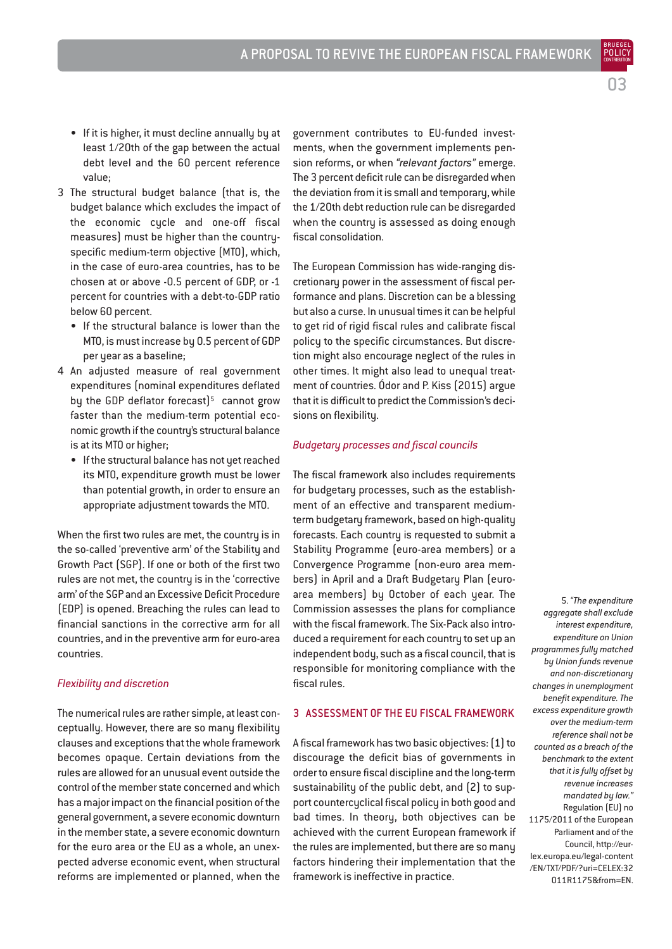- If it is higher, it must decline annually by at least 1/20th of the gap between the actual debt level and the 60 percent reference value;
- 3 The structural budget balance (that is, the budget balance which excludes the impact of the economic cycle and one-off fiscal measures) must be higher than the countryspecific medium-term objective (MTO), which, in the case of euro-area countries, has to be chosen at or above -0.5 percent of GDP, or -1 percent for countries with a debt-to-GDP ratio below 60 percent.
	- If the structural balance is lower than the MTO, is must increase by 0.5 percent of GDP per year as a baseline;
- 4 An adjusted measure of real government expenditures (nominal expenditures deflated by the GDP deflator forecast) $5$  cannot grow faster than the medium-term potential economic growth if the country's structural balance is at its MTO or higher;
	- If the structural balance has not yet reached its MTO, expenditure growth must be lower than potential growth, in order to ensure an appropriate adjustment towards the MTO.

When the first two rules are met, the country is in the so-called 'preventive arm' of the Stability and Growth Pact (SGP). If one or both of the first two rules are not met, the country is in the 'corrective arm' of the SGP and an Excessive Deficit Procedure (EDP) is opened. Breaching the rules can lead to financial sanctions in the corrective arm for all countries, and in the preventive arm for euro-area countries.

# *Flexibility and discretion*

The numerical rules are rather simple, at least conceptually. However, there are so many flexibility clauses and exceptions that the whole framework becomes opaque. Certain deviations from the rules are allowed for an unusual event outside the control of the member state concerned and which has a major impact on the financial position of the general government, a severe economic downturn in the member state, a severe economic downturn for the euro area or the EU as a whole, an unexpected adverse economic event, when structural reforms are implemented or planned, when the

government contributes to EU-funded investments, when the government implements pension reforms, or when *"relevant factors"* emerge. The 3 percent deficit rule can be disregarded when the deviation from it is small and temporary, while the 1/20th debt reduction rule can be disregarded when the country is assessed as doing enough fiscal consolidation.

The European Commission has wide-ranging discretionary power in the assessment of fiscal performance and plans. Discretion can be a blessing but also a curse. In unusual times it can be helpful to get rid of rigid fiscal rules and calibrate fiscal policy to the specific circumstances. But discretion might also encourage neglect of the rules in other times. It might also lead to unequal treatment of countries. Ódor and P. Kiss (2015) argue that it is difficult to predict the Commission's decisions on flexibility.

#### *Budgetary processes and fiscal councils*

The fiscal framework also includes requirements for budgetary processes, such as the establishment of an effective and transparent mediumterm budgetary framework, based on high-quality forecasts. Each country is requested to submit a Stability Programme (euro-area members) or a Convergence Programme (non-euro area members) in April and a Draft Budgetary Plan (euroarea members) by October of each year. The Commission assesses the plans for compliance with the fiscal framework. The Six-Pack also introduced a requirement for each country to set up an independent body, such as a fiscal council, that is responsible for monitoring compliance with the fiscal rules.

# 3 ASSESSMENT OF THE EU FISCAL FRAMEWORK

A fiscal framework has two basic objectives: (1) to discourage the deficit bias of governments in order to ensure fiscal discipline and the long-term sustainability of the public debt, and (2) to support countercyclical fiscal policy in both good and bad times. In theory, both objectives can be achieved with the current European framework if the rules are implemented, but there are so many factors hindering their implementation that the framework is ineffective in practice.

5. *"The expenditure aggregate shall exclude interest expenditure, expenditure on Union programmes fully matched by Union funds revenue and non-discretionary changes in unemployment benefit expenditure. The excess expenditure growth over the medium-term reference shall not be counted as a breach of the benchmark to the extent that it is fully offset by revenue increases mandated by law."* Regulation (EU) no 1175/2011 of the European Parliament and of the Council, http://eurlex.europa.eu/legal-content /EN/TXT/PDF/?uri=CELEX:32 011R1175&from=EN.

03

BRUEGEL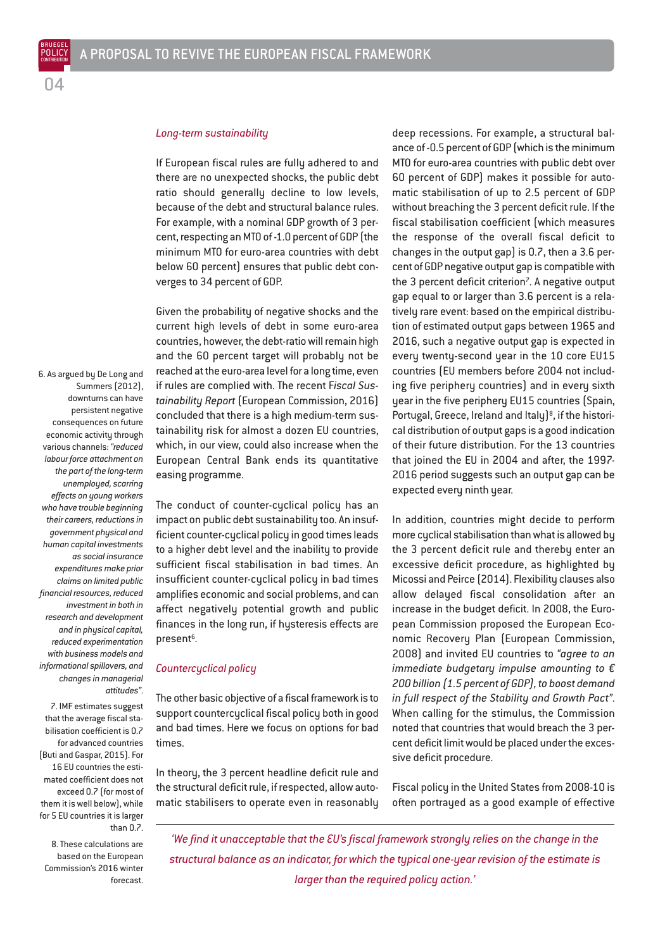POLICY

# *Long-term sustainability*

If European fiscal rules are fully adhered to and there are no unexpected shocks, the public debt ratio should generally decline to low levels, because of the debt and structural balance rules. For example, with a nominal GDP growth of 3 percent, respecting an MTO of -1.0 percent of GDP (the minimum MTO for euro-area countries with debt below 60 percent) ensures that public debt converges to 34 percent of GDP.

Given the probability of negative shocks and the current high levels of debt in some euro-area countries, however, the debt-ratio will remain high and the 60 percent target will probably not be reached at the euro-area level for a long time, even if rules are complied with. The recent F*iscal Sustainability Report* (European Commission, 2016) concluded that there is a high medium-term sustainability risk for almost a dozen EU countries, which, in our view, could also increase when the European Central Bank ends its quantitative easing programme.

The conduct of counter-cyclical policy has an impact on public debt sustainability too. An insufficient counter-cyclical policy in good times leads to a higher debt level and the inability to provide sufficient fiscal stabilisation in bad times. An insufficient counter-cyclical policy in bad times amplifies economic and social problems, and can affect negatively potential growth and public finances in the long run, if hysteresis effects are present<sup>6</sup>.

#### *Countercyclical policy*

The other basic objective of a fiscal framework is to support countercyclical fiscal policy both in good and bad times. Here we focus on options for bad times.

In theory, the 3 percent headline deficit rule and the structural deficit rule, if respected, allow automatic stabilisers to operate even in reasonably deep recessions. For example, a structural balance of -0.5 percent of GDP (which is the minimum MTO for euro-area countries with public debt over 60 percent of GDP) makes it possible for automatic stabilisation of up to 2.5 percent of GDP without breaching the 3 percent deficit rule. If the fiscal stabilisation coefficient (which measures the response of the overall fiscal deficit to changes in the output gap) is 0.7, then a 3.6 percent of GDP negative output gap is compatible with the  $3$  percent deficit criterion<sup>7</sup>. A negative output gap equal to or larger than 3.6 percent is a relatively rare event: based on the empirical distribution of estimated output gaps between 1965 and 2016, such a negative output gap is expected in every twenty-second year in the 10 core EU15 countries (EU members before 2004 not including five periphery countries) and in every sixth year in the five periphery EU15 countries (Spain, Portugal, Greece, Ireland and Italy)<sup>8</sup>, if the historical distribution of output gaps is a good indication of their future distribution. For the 13 countries that joined the EU in 2004 and after, the 1997- 2016 period suggests such an output gap can be expected every ninth year.

In addition, countries might decide to perform more cyclical stabilisation than what is allowed by the 3 percent deficit rule and thereby enter an excessive deficit procedure, as highlighted by Micossi and Peirce (2014). Flexibility clauses also allow delayed fiscal consolidation after an increase in the budget deficit. In 2008, the European Commission proposed the European Economic Recovery Plan (European Commission, 2008) and invited EU countries to *"agree to an immediate budgetary impulse amounting to € 200 billion (1.5 percent of GDP), to boost demand in full respect of the Stability and Growth Pact"*. When calling for the stimulus, the Commission noted that countries that would breach the 3 percent deficit limit would be placed under the excessive deficit procedure.

Fiscal policy in the United States from 2008-10 is often portrayed as a good example of effective

*'We find it unacceptable that the EU's fiscal framework strongly relies on the change in the structural balance as an indicator, for which the typical one-year revision of the estimate is larger than the required policy action.'*

Summers (2012), downturns can have persistent negative consequences on future economic activity through various channels: *"reduced labour force attachment on the part of the long-term unemployed, scarring effects on young workers who have trouble beginning their careers, reductions in government physical and human capital investments as social insurance expenditures make prior claims on limited public financial resources, reduced investment in both in research and development and in physical capital, reduced experimentation with business models and informational spillovers, and changes in managerial attitudes"*.

6. As argued by De Long and

7. IMF estimates suggest that the average fiscal stabilisation coefficient is 0.7 for advanced countries (Buti and Gaspar, 2015). For 16 EU countries the estimated coefficient does not exceed 0.7 (for most of them it is well below), while for 5 EU countries it is larger than 0.7.

8. These calculations are based on the European Commission's 2016 winter forecast.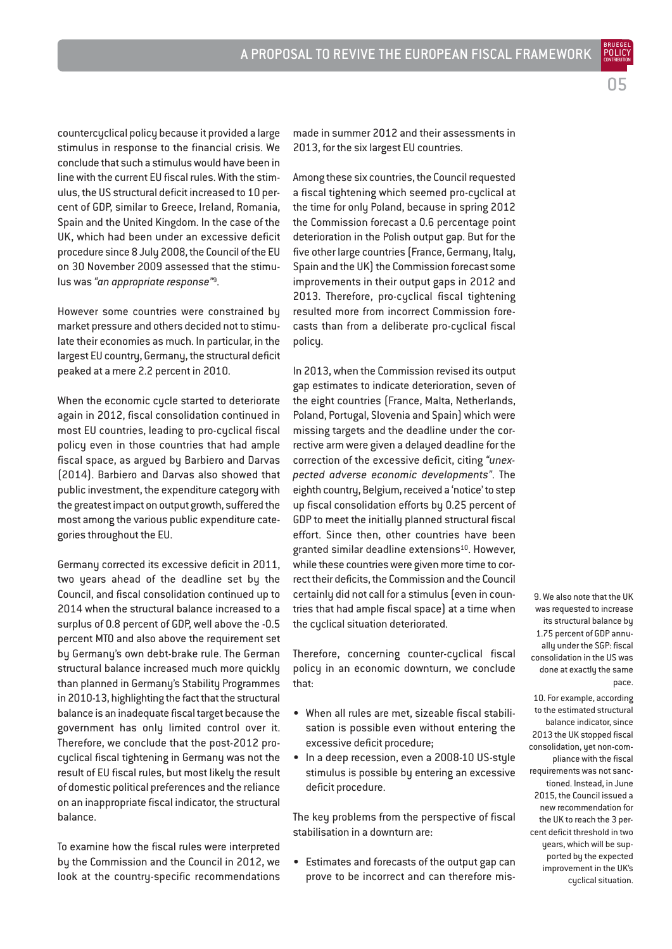countercyclical policy because it provided a large stimulus in response to the financial crisis. We conclude that such a stimulus would have been in line with the current EU fiscal rules. With the stimulus, the US structural deficit increased to 10 percent of GDP, similar to Greece, Ireland, Romania, Spain and the United Kingdom. In the case of the UK, which had been under an excessive deficit procedure since 8 July 2008, the Council of the EU

However some countries were constrained by market pressure and others decided not to stimulate their economies as much. In particular, in the largest EU country, Germany, the structural deficit peaked at a mere 2.2 percent in 2010.

on 30 November 2009 assessed that the stimu-

lus was *"an appropriate response"*9.

When the economic cycle started to deteriorate again in 2012, fiscal consolidation continued in most EU countries, leading to pro-cyclical fiscal policy even in those countries that had ample fiscal space, as argued by Barbiero and Darvas (2014). Barbiero and Darvas also showed that public investment, the expenditure category with the greatest impact on output growth, suffered the most among the various public expenditure categories throughout the EU.

Germany corrected its excessive deficit in 2011, two years ahead of the deadline set by the Council, and fiscal consolidation continued up to 2014 when the structural balance increased to a surplus of 0.8 percent of GDP, well above the -0.5 percent MTO and also above the requirement set by Germany's own debt-brake rule. The German structural balance increased much more quickly than planned in Germany's Stability Programmes in 2010-13, highlighting the fact that the structural balance is an inadequate fiscal target because the government has only limited control over it. Therefore, we conclude that the post-2012 procyclical fiscal tightening in Germany was not the result of EU fiscal rules, but most likely the result of domestic political preferences and the reliance on an inappropriate fiscal indicator, the structural balance.

To examine how the fiscal rules were interpreted by the Commission and the Council in 2012, we look at the country-specific recommendations made in summer 2012 and their assessments in 2013, for the six largest EU countries.

Among these six countries, the Council requested a fiscal tightening which seemed pro-cyclical at the time for only Poland, because in spring 2012 the Commission forecast a 0.6 percentage point deterioration in the Polish output gap. But for the five other large countries (France, Germany, Italy, Spain and the UK) the Commission forecast some improvements in their output gaps in 2012 and 2013. Therefore, pro-cyclical fiscal tightening resulted more from incorrect Commission forecasts than from a deliberate pro-cyclical fiscal policu.

In 2013, when the Commission revised its output gap estimates to indicate deterioration, seven of the eight countries (France, Malta, Netherlands, Poland, Portugal, Slovenia and Spain) which were missing targets and the deadline under the corrective arm were given a delayed deadline for the correction of the excessive deficit, citing *"unexpected adverse economic developments"*. The eighth country, Belgium, received a 'notice' to step up fiscal consolidation efforts by 0.25 percent of GDP to meet the initially planned structural fiscal effort. Since then, other countries have been granted similar deadline extensions<sup>10</sup>. However, while these countries were given more time to correct their deficits, the Commission and the Council certainly did not call for a stimulus (even in countries that had ample fiscal space) at a time when the cyclical situation deteriorated.

Therefore, concerning counter-cyclical fiscal policy in an economic downturn, we conclude that:

- When all rules are met, sizeable fiscal stabilisation is possible even without entering the excessive deficit procedure;
- In a deep recession, even a 2008-10 US-style stimulus is possible by entering an excessive deficit procedure.

The key problems from the perspective of fiscal stabilisation in a downturn are:

• Estimates and forecasts of the output gap can prove to be incorrect and can therefore mis-

9. We also note that the UK was requested to increase its structural balance by 1.75 percent of GDP annually under the SGP: fiscal consolidation in the US was done at exactly the same pace.

10. For example, according to the estimated structural balance indicator, since 2013 the UK stopped fiscal consolidation, yet non-compliance with the fiscal requirements was not sanctioned. Instead, in June 2015, the Council issued a new recommendation for the UK to reach the 3 percent deficit threshold in two years, which will be supported by the expected improvement in the UK's cyclical situation.

POLICY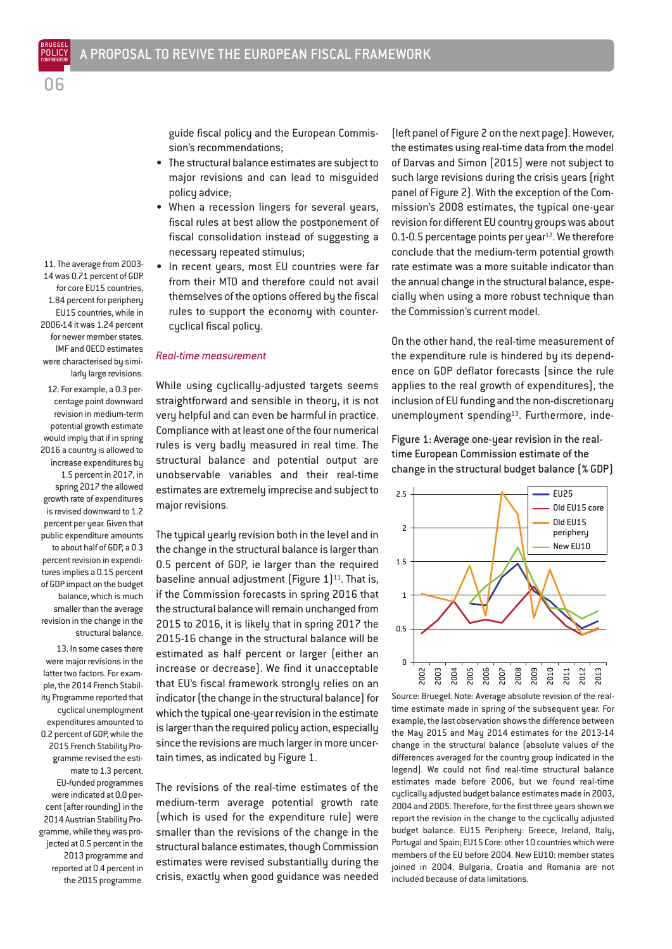11. The average from 2003- 14 was 0.71 percent of GDP for core EU15 countries, 1.84 percent for periphery EU15 countries, while in 2006-14 it was 1.24 percent for newer member states. IMF and OECD estimates were characterised by similarly large revisions.

 $\cap$ 

12. For example, a 0.3 percentage point downward revision in medium-term potential growth estimate would imply that if in spring 2016 a country is allowed to increase expenditures by 1.5 percent in 2017, in spring 2017 the allowed growth rate of expenditures is revised downward to 1.2 percent per year. Given that public expenditure amounts to about half of GDP, a 0.3 percent revision in expenditures implies a 0.15 percent of GDP impact on the budget balance, which is much smaller than the average revision in the change in the structural balance.

13. In some cases there were major revisions in the latter two factors. For example, the 2014 French Stability Programme reported that cyclical unemployment expenditures amounted to 0.2 percent of GDP, while the 2015 French Stability Programme revised the estimate to 1.3 percent. EU-funded programmes were indicated at 0.0 percent (after rounding) in the 2014 Austrian Stability Programme, while they was projected at 0.5 percent in the 2013 programme and reported at 0.4 percent in the 2015 programme.

guide fiscal policy and the European Commission's recommendations;

- The structural balance estimates are subject to major revisions and can lead to misguided policy advice;
- When a recession lingers for several years, fiscal rules at best allow the postponement of fiscal consolidation instead of suggesting a necessary repeated stimulus;
- In recent years, most EU countries were far from their MTO and therefore could not avail themselves of the options offered by the fiscal rules to support the economy with countercyclical fiscal policy.

#### *Real-time measurement*

While using cyclically-adjusted targets seems straightforward and sensible in theory, it is not very helpful and can even be harmful in practice. Compliance with at least one of the four numerical rules is very badly measured in real time. The structural balance and potential output are unobservable variables and their real-time estimates are extremely imprecise and subject to major revisions.

The typical yearly revision both in the level and in the change in the structural balance is larger than 0.5 percent of GDP, ie larger than the required baseline annual adjustment (Figure  $1$ )<sup>11</sup>. That is, if the Commission forecasts in spring 2016 that the structural balance will remain unchanged from 2015 to 2016, it is likely that in spring 2017 the 2015-16 change in the structural balance will be estimated as half percent or larger (either an increase or decrease). We find it unacceptable that EU's fiscal framework strongly relies on an indicator (the change in the structural balance) for which the typical one-year revision in the estimate is larger than the required policy action, especially since the revisions are much larger in more uncertain times, as indicated by Figure 1.

The revisions of the real-time estimates of the medium-term average potential growth rate (which is used for the expenditure rule) were smaller than the revisions of the change in the structural balance estimates, though Commission estimates were revised substantially during the crisis, exactly when good guidance was needed (left panel of Figure 2 on the next page). However, the estimates using real-time data from the model of Darvas and Simon (2015) were not subject to such large revisions during the crisis years (right panel of Figure 2). With the exception of the Commission's 2008 estimates, the typical one-year revision for different EU country groups was about 0.1-0.5 percentage points per year<sup>12</sup>. We therefore conclude that the medium-term potential growth rate estimate was a more suitable indicator than the annual change in the structural balance, especially when using a more robust technique than the Commission's current model.

On the other hand, the real-time measurement of the expenditure rule is hindered by its dependence on GDP deflator forecasts (since the rule applies to the real growth of expenditures), the inclusion of EU funding and the non-discretionary unemployment spending<sup>13</sup>. Furthermore, inde-

Figure 1: Average one-year revision in the realtime European Commission estimate of the change in the structural budget balance (% GDP)



Source: Bruegel. Note: Average absolute revision of the realtime estimate made in spring of the subsequent year. For example, the last observation shows the difference between the May 2015 and May 2014 estimates for the 2013-14 change in the structural balance (absolute values of the differences averaged for the country group indicated in the legend). We could not find real-time structural balance estimates made before 2006, but we found real-time cyclically adjusted budget balance estimates made in 2003, 2004 and 2005. Therefore, for the first three years shown we report the revision in the change to the cyclically adjusted budget balance. EU15 Periphery: Greece, Ireland, Italy, Portugal and Spain; EU15 Core: other 10 countries which were members of the EU before 2004. New EU10: member states joined in 2004. Bulgaria, Croatia and Romania are not included because of data limitations.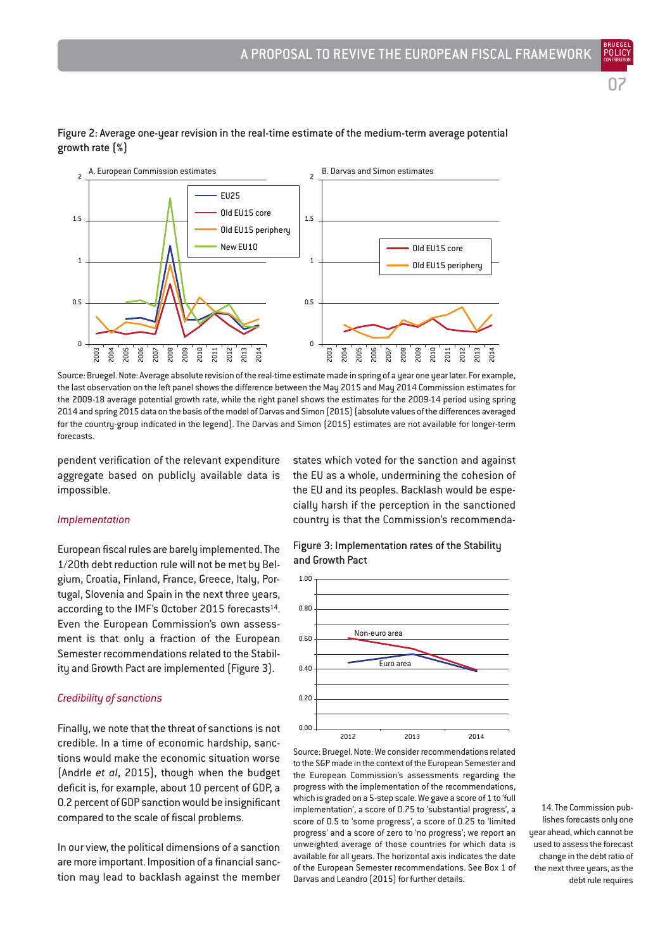BRUEGEL



# Figure 2: Average one-year revision in the real-time estimate of the medium-term average potential growth rate (%)

Source: Bruegel. Note: Average absolute revision of the real-time estimate made in spring of a year one year later. For example, the last observation on the left panel shows the difference between the May 2015 and May 2014 Commission estimates for the 2009-18 average potential growth rate, while the right panel shows the estimates for the 2009-14 period using spring 2014 and spring 2015 data on the basis of the model of Darvas and Simon (2015) (absolute values of the differences averaged for the country-group indicated in the legend). The Darvas and Simon (2015) estimates are not available for longer-term forecasts.

pendent verification of the relevant expenditure aggregate based on publicly available data is impossible.

#### *Implementation*

European fiscal rules are barely implemented. The 1/20th debt reduction rule will not be met by Belgium, Croatia, Finland, France, Greece, Italy, Portugal, Slovenia and Spain in the next three years, according to the IMF's October 2015 forecasts<sup>14</sup>. Even the European Commission's own assessment is that only a fraction of the European Semester recommendations related to the Stability and Growth Pact are implemented (Figure 3).

#### *Credibility of sanctions*

Finally, we note that the threat of sanctions is not credible. In a time of economic hardship, sanctions would make the economic situation worse (Andrle *et al*, 2015), though when the budget deficit is, for example, about 10 percent of GDP, a 0.2 percent of GDP sanction would be insignificant compared to the scale of fiscal problems.

In our view, the political dimensions of a sanction are more important. Imposition of a financial sanction may lead to backlash against the member states which voted for the sanction and against the EU as a whole, undermining the cohesion of the EU and its peoples. Backlash would be especially harsh if the perception in the sanctioned country is that the Commission's recommenda-

Figure 3: Implementation rates of the Stability and Growth Pact



Source: Bruegel. Note: We consider recommendations related to the SGP made in the context of the European Semester and the European Commission's assessments regarding the progress with the implementation of the recommendations, which is graded on a 5-step scale. We gave a score of 1 to 'full implementation', a score of 0.75 to 'substantial progress', a score of 0.5 to 'some progress', a score of 0.25 to 'limited progress' and a score of zero to 'no progress'; we report an unweighted average of those countries for which data is available for all years. The horizontal axis indicates the date of the European Semester recommendations. See Box 1 of Darvas and Leandro (2015) for further details.

14. The Commission publishes forecasts only one year ahead, which cannot be used to assess the forecast change in the debt ratio of the next three years, as the debt rule requires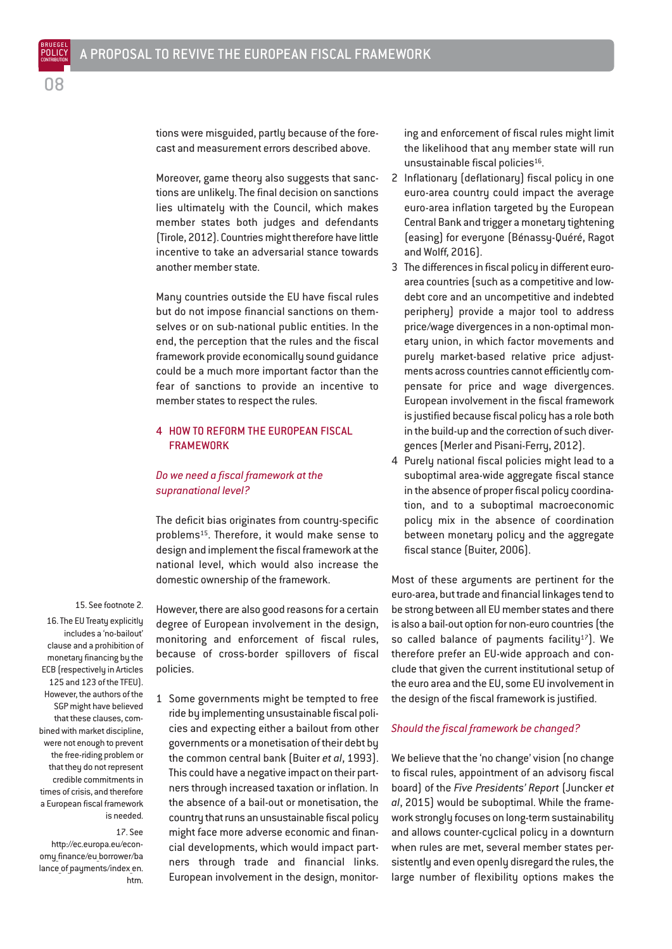tions were misguided, partly because of the forecast and measurement errors described above.

Moreover, game theory also suggests that sanctions are unlikely. The final decision on sanctions lies ultimately with the Council, which makes member states both judges and defendants (Tirole, 2012). Countries might therefore have little incentive to take an adversarial stance towards another member state.

Many countries outside the EU have fiscal rules but do not impose financial sanctions on themselves or on sub-national public entities. In the end, the perception that the rules and the fiscal framework provide economically sound guidance could be a much more important factor than the fear of sanctions to provide an incentive to member states to respect the rules.

# 4 HOW TO REFORM THE EUROPEAN FISCAL FRAMEWORK

# *Do we need a fiscal framework at the supranational level?*

The deficit bias originates from country-specific problems15. Therefore, it would make sense to design and implement the fiscal framework at the national level, which would also increase the domestic ownership of the framework.

15. See footnote 2.

16. The EU Treaty explicitly includes a 'no-bailout' clause and a prohibition of monetary financing by the ECB (respectively in Articles 125 and 123 of the TFEU). However, the authors of the SGP might have believed that these clauses, combined with market discipline, were not enough to prevent the free-riding problem or that they do not represent credible commitments in times of crisis, and therefore a European fiscal framework is needed.

17. See

http://ec.europa.eu/economy\_finance/eu\_borrower/ba lance of payments/index en. htm. However, there are also good reasons for a certain degree of European involvement in the design, monitoring and enforcement of fiscal rules, because of cross-border spillovers of fiscal policies.

1 Some governments might be tempted to free ride by implementing unsustainable fiscal policies and expecting either a bailout from other governments or a monetisation of their debt by the common central bank (Buiter *et al*, 1993). This could have a negative impact on their partners through increased taxation or inflation. In the absence of a bail-out or monetisation, the country that runs an unsustainable fiscal policy might face more adverse economic and financial developments, which would impact partners through trade and financial links. European involvement in the design, monitoring and enforcement of fiscal rules might limit the likelihood that any member state will run unsustainable fiscal policies<sup>16</sup>.

- 2 Inflationary (deflationary) fiscal policy in one euro-area country could impact the average euro-area inflation targeted by the European Central Bank and trigger a monetary tightening (easing) for everyone (Bénassy-Quéré, Ragot and Wolff, 2016).
- 3 The differences in fiscal policy in different euroarea countries (such as a competitive and lowdebt core and an uncompetitive and indebted periphery) provide a major tool to address price/wage divergences in a non-optimal monetary union, in which factor movements and purely market-based relative price adjustments across countries cannot efficiently compensate for price and wage divergences. European involvement in the fiscal framework is justified because fiscal policy has a role both in the build-up and the correction of such divergences (Merler and Pisani-Ferry, 2012).
- 4 Purely national fiscal policies might lead to a suboptimal area-wide aggregate fiscal stance in the absence of proper fiscal policy coordination, and to a suboptimal macroeconomic policy mix in the absence of coordination between monetary policy and the aggregate fiscal stance (Buiter, 2006).

Most of these arguments are pertinent for the euro-area, but trade and financial linkages tend to be strong between all EU member states and there is also a bail-out option for non-euro countries (the so called balance of payments facility<sup>17</sup>). We therefore prefer an EU-wide approach and conclude that given the current institutional setup of the euro area and the EU, some EU involvement in the design of the fiscal framework is justified.

#### *Should the fiscal framework be changed?*

We believe that the 'no change' vision (no change to fiscal rules, appointment of an advisory fiscal board) of the *Five Presidents' Report* (Juncker *et al*, 2015) would be suboptimal. While the framework strongly focuses on long-term sustainability and allows counter-cyclical policy in a downturn when rules are met, several member states persistently and even openly disregard the rules, the large number of flexibility options makes the

08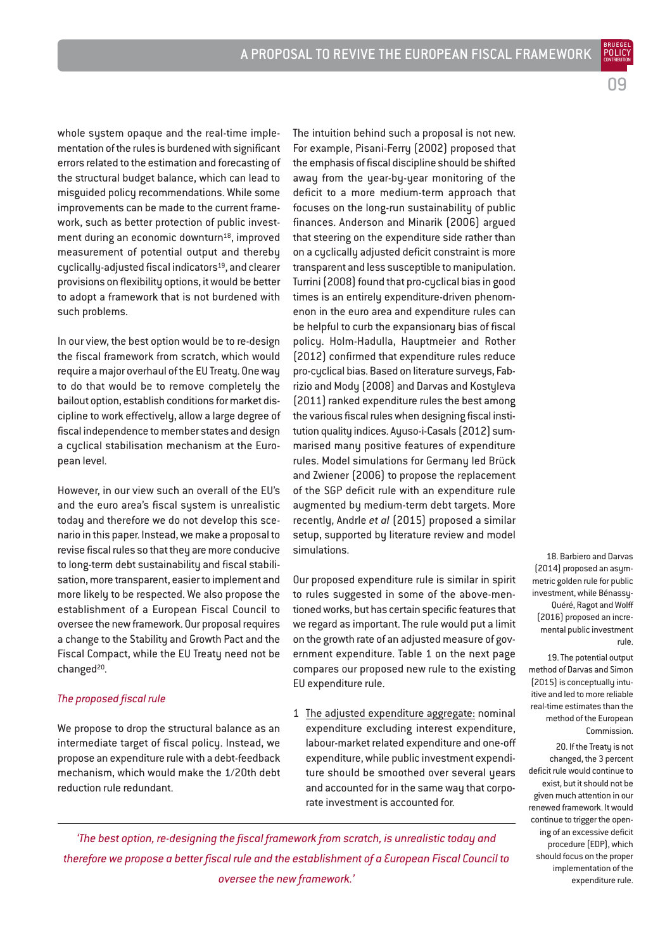whole system opaque and the real-time implementation of the rules is burdened with significant errors related to the estimation and forecasting of the structural budget balance, which can lead to misguided policy recommendations. While some improvements can be made to the current framework, such as better protection of public investment during an economic downturn<sup>18</sup>, improved measurement of potential output and thereby cyclically-adjusted fiscal indicators<sup>19</sup>, and clearer provisions on flexibility options, it would be better to adopt a framework that is not burdened with such problems.

In our view, the best option would be to re-design the fiscal framework from scratch, which would require a major overhaul of the EU Treaty. One way to do that would be to remove completely the bailout option, establish conditions for market discipline to work effectively, allow a large degree of fiscal independence to member states and design a cyclical stabilisation mechanism at the European level.

However, in our view such an overall of the EU's and the euro area's fiscal system is unrealistic today and therefore we do not develop this scenario in this paper. Instead, we make a proposal to revise fiscal rules so that they are more conducive to long-term debt sustainability and fiscal stabilisation, more transparent, easier to implement and more likely to be respected. We also propose the establishment of a European Fiscal Council to oversee the new framework. Our proposal requires a change to the Stability and Growth Pact and the Fiscal Compact, while the EU Treaty need not be changed<sup>20</sup>.

#### *The proposed fiscal rule*

We propose to drop the structural balance as an intermediate target of fiscal policy. Instead, we propose an expenditure rule with a debt-feedback mechanism, which would make the 1/20th debt reduction rule redundant.

The intuition behind such a proposal is not new. For example, Pisani-Ferry (2002) proposed that the emphasis of fiscal discipline should be shifted away from the year-by-year monitoring of the deficit to a more medium-term approach that focuses on the long-run sustainability of public finances. Anderson and Minarik (2006) argued that steering on the expenditure side rather than on a cyclically adjusted deficit constraint is more transparent and less susceptible to manipulation. Turrini (2008) found that pro-cyclical bias in good times is an entirely expenditure-driven phenomenon in the euro area and expenditure rules can be helpful to curb the expansionary bias of fiscal policy. Holm-Hadulla, Hauptmeier and Rother (2012) confirmed that expenditure rules reduce pro-cyclical bias. Based on literature surveys, Fabrizio and Mody (2008) and Darvas and Kostyleva (2011) ranked expenditure rules the best among the various fiscal rules when designing fiscal institution quality indices. Ayuso-i-Casals (2012) summarised many positive features of expenditure rules. Model simulations for Germany led Brück and Zwiener (2006) to propose the replacement of the SGP deficit rule with an expenditure rule augmented by medium-term debt targets. More recently, Andrle *et al* (2015) proposed a similar setup, supported by literature review and model simulations.

Our proposed expenditure rule is similar in spirit to rules suggested in some of the above-mentioned works, but has certain specific features that we regard as important. The rule would put a limit on the growth rate of an adjusted measure of government expenditure. Table 1 on the next page compares our proposed new rule to the existing EU expenditure rule.

1 The adjusted expenditure aggregate: nominal expenditure excluding interest expenditure, labour-market related expenditure and one-off expenditure, while public investment expenditure should be smoothed over several years and accounted for in the same way that corporate investment is accounted for.

18. Barbiero and Darvas (2014) proposed an asymmetric golden rule for public investment, while Bénassy-Quéré, Ragot and Wolff (2016) proposed an incremental public investment rule.

09

BRUEGEL

19. The potential output method of Darvas and Simon (2015) is conceptually intuitive and led to more reliable real-time estimates than the method of the European Commission.

20. If the Treaty is not changed, the 3 percent deficit rule would continue to exist, but it should not be given much attention in our renewed framework. It would continue to trigger the opening of an excessive deficit procedure (EDP), which should focus on the proper implementation of the expenditure rule.

*'The best option, re-designing the fiscal framework from scratch, is unrealistic today and therefore we propose a better fiscal rule and the establishment of a European Fiscal Council to oversee the new framework.'*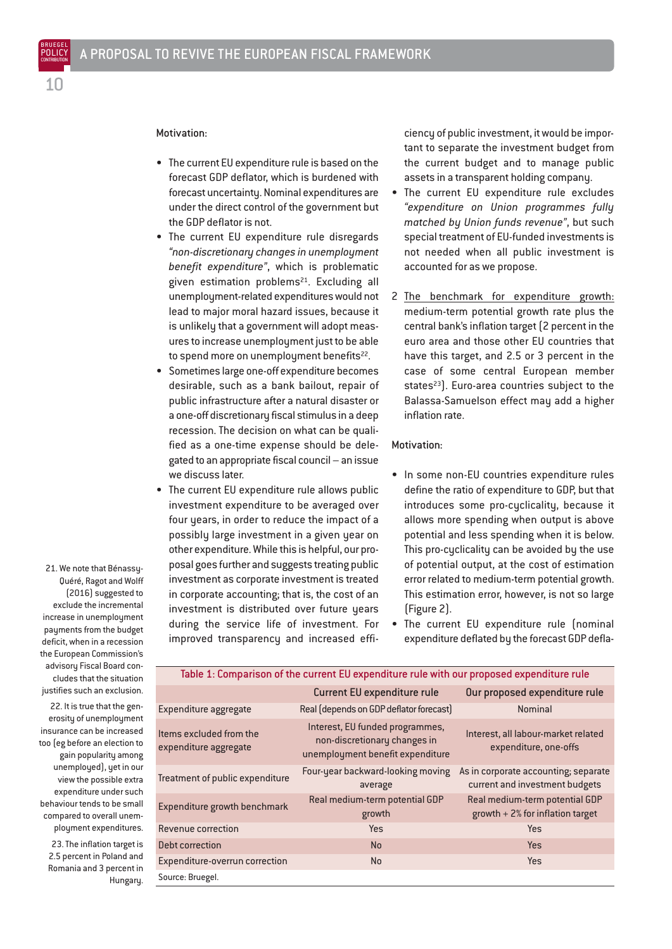# Motivation:

- The current EU expenditure rule is based on the forecast GDP deflator, which is burdened with forecast uncertainty. Nominal expenditures are under the direct control of the government but the GDP deflator is not.
- The current EU expenditure rule disregards *"non-discretionary changes in unemployment benefit expenditure"*, which is problematic given estimation problems<sup>21</sup>. Excluding all unemployment-related expenditures would not lead to major moral hazard issues, because it is unlikely that a government will adopt measures to increase unemployment just to be able to spend more on unemployment benefits<sup>22</sup>.
- Sometimes large one-off expenditure becomes desirable, such as a bank bailout, repair of public infrastructure after a natural disaster or a one-off discretionary fiscal stimulus in a deep recession. The decision on what can be qualified as a one-time expense should be delegated to an appropriate fiscal council – an issue we discuss later.
- The current EU expenditure rule allows public investment expenditure to be averaged over four years, in order to reduce the impact of a possibly large investment in a given year on other expenditure. While this is helpful, our proposal goes further and suggests treating public investment as corporate investment is treated in corporate accounting; that is, the cost of an investment is distributed over future years during the service life of investment. For improved transparency and increased effi-

ciency of public investment, it would be important to separate the investment budget from the current budget and to manage public assets in a transparent holding company.

- The current EU expenditure rule excludes *"expenditure on Union programmes fully matched by Union funds revenue"*, but such special treatment of EU-funded investments is not needed when all public investment is accounted for as we propose.
- 2 The benchmark for expenditure growth: medium-term potential growth rate plus the central bank's inflation target (2 percent in the euro area and those other EU countries that have this target, and 2.5 or 3 percent in the case of some central European member states<sup>23</sup>). Euro-area countries subject to the Balassa-Samuelson effect may add a higher inflation rate.

#### Motivation:

- In some non-EU countries expenditure rules define the ratio of expenditure to GDP, but that introduces some pro-cyclicality, because it allows more spending when output is above potential and less spending when it is below. This pro-cyclicality can be avoided by the use of potential output, at the cost of estimation error related to medium-term potential growth. This estimation error, however, is not so large (Figure 2).
- The current EU expenditure rule (nominal expenditure deflated by the forecast GDP defla-

| Table 1: Comparison of the current EU expenditure rule with our proposed expenditure rule |                                                                                                     |                                                                        |
|-------------------------------------------------------------------------------------------|-----------------------------------------------------------------------------------------------------|------------------------------------------------------------------------|
|                                                                                           | <b>Current EU expenditure rule</b>                                                                  | Our proposed expenditure rule                                          |
| Expenditure aggregate                                                                     | Real (depends on GDP deflator forecast)                                                             | <b>Nominal</b>                                                         |
| Items excluded from the<br>expenditure aggregate                                          | Interest, EU funded programmes,<br>non-discretionary changes in<br>unemployment benefit expenditure | Interest, all labour-market related<br>expenditure, one-offs           |
| Treatment of public expenditure                                                           | Four-year backward-looking moving<br>average                                                        | As in corporate accounting; separate<br>current and investment budgets |
| <b>Expenditure growth benchmark</b>                                                       | Real medium-term potential GDP<br>growth                                                            | Real medium-term potential GDP<br>growth $+2%$ for inflation target    |
| Revenue correction                                                                        | Yes                                                                                                 | Yes                                                                    |
| Debt correction                                                                           | <b>No</b>                                                                                           | <b>Yes</b>                                                             |
| Expenditure-overrun correction                                                            | No                                                                                                  | Yes                                                                    |
| Source: Bruegel.                                                                          |                                                                                                     |                                                                        |

21. We note that Bénassy-Quéré, Ragot and Wolff (2016) suggested to exclude the incremental increase in unemployment payments from the budget deficit, when in a recession the European Commission's advisory Fiscal Board concludes that the situation justifies such an exclusion.

22. It is true that the generosity of unemployment insurance can be increased too (eg before an election to gain popularity among unemployed), yet in our view the possible extra expenditure under such behaviour tends to be small compared to overall unemployment expenditures.

23. The inflation target is 2.5 percent in Poland and Romania and 3 percent in Hungary.

10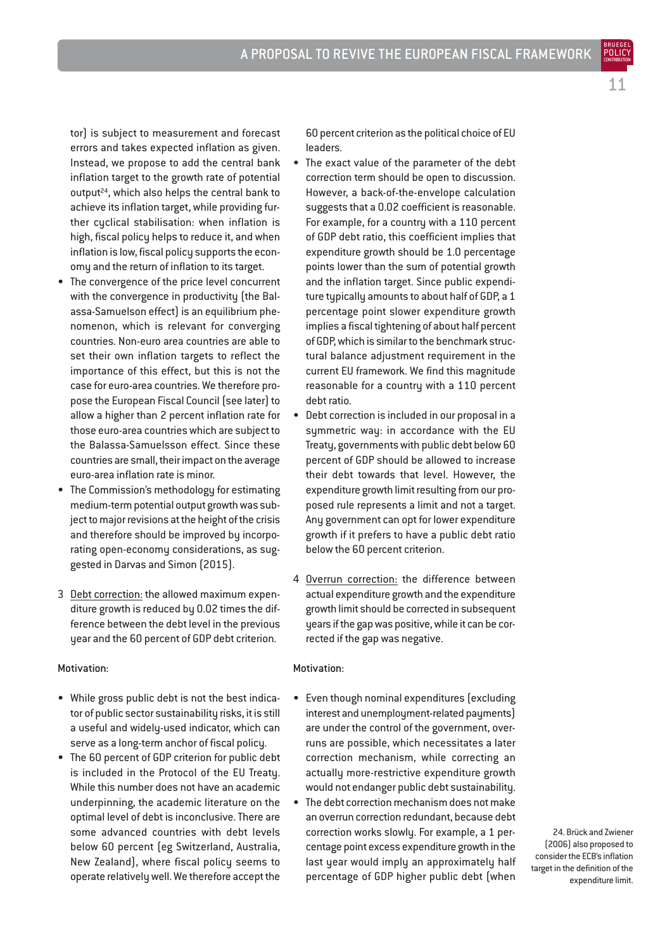BRUEGEL

tor) is subject to measurement and forecast errors and takes expected inflation as given. Instead, we propose to add the central bank inflation target to the growth rate of potential output24, which also helps the central bank to achieve its inflation target, while providing further cyclical stabilisation: when inflation is high, fiscal policy helps to reduce it, and when inflation is low, fiscal policy supports the economy and the return of inflation to its target.

- The convergence of the price level concurrent with the convergence in productivity (the Balassa-Samuelson effect) is an equilibrium phenomenon, which is relevant for converging countries. Non-euro area countries are able to set their own inflation targets to reflect the importance of this effect, but this is not the case for euro-area countries. We therefore propose the European Fiscal Council (see later) to allow a higher than 2 percent inflation rate for those euro-area countries which are subject to the Balassa-Samuelsson effect. Since these countries are small, their impact on the average euro-area inflation rate is minor.
- The Commission's methodology for estimating medium-term potential output growth was subject to major revisions at the height of the crisis and therefore should be improved by incorporating open-economy considerations, as suggested in Darvas and Simon (2015).
- 3 Debt correction: the allowed maximum expenditure growth is reduced by 0.02 times the difference between the debt level in the previous year and the 60 percent of GDP debt criterion.

# Motivation:

- While gross public debt is not the best indicator of public sector sustainability risks, it is still a useful and widely-used indicator, which can serve as a long-term anchor of fiscal policy.
- The 60 percent of GDP criterion for public debt is included in the Protocol of the EU Treaty. While this number does not have an academic underpinning, the academic literature on the optimal level of debt is inconclusive. There are some advanced countries with debt levels below 60 percent (eg Switzerland, Australia, New Zealand), where fiscal policy seems to operate relatively well. We therefore accept the

60 percent criterion as the political choice of EU leaders.

- The exact value of the parameter of the debt correction term should be open to discussion. However, a back-of-the-envelope calculation suggests that a 0.02 coefficient is reasonable. For example, for a country with a 110 percent of GDP debt ratio, this coefficient implies that expenditure growth should be 1.0 percentage points lower than the sum of potential growth and the inflation target. Since public expenditure typically amounts to about half of GDP, a 1 percentage point slower expenditure growth implies a fiscal tightening of about half percent of GDP, which is similar to the benchmark structural balance adjustment requirement in the current EU framework. We find this magnitude reasonable for a country with a 110 percent debt ratio.
- Debt correction is included in our proposal in a symmetric way: in accordance with the EU Treaty, governments with public debt below 60 percent of GDP should be allowed to increase their debt towards that level. However, the expenditure growth limit resulting from our proposed rule represents a limit and not a target. Any government can opt for lower expenditure growth if it prefers to have a public debt ratio below the 60 percent criterion.
- 4 Overrun correction: the difference between actual expenditure growth and the expenditure growth limit should be corrected in subsequent years if the gap was positive, while it can be corrected if the gap was negative.

#### Motivation:

- Even though nominal expenditures (excluding interest and unemployment-related payments) are under the control of the government, overruns are possible, which necessitates a later correction mechanism, while correcting an actually more-restrictive expenditure growth would not endanger public debt sustainability.
- The debt correction mechanism does not make an overrun correction redundant, because debt correction works slowly. For example, a 1 percentage point excess expenditure growth in the last year would imply an approximately half percentage of GDP higher public debt (when

24. Brück and Zwiener (2006) also proposed to consider the ECB's inflation target in the definition of the expenditure limit.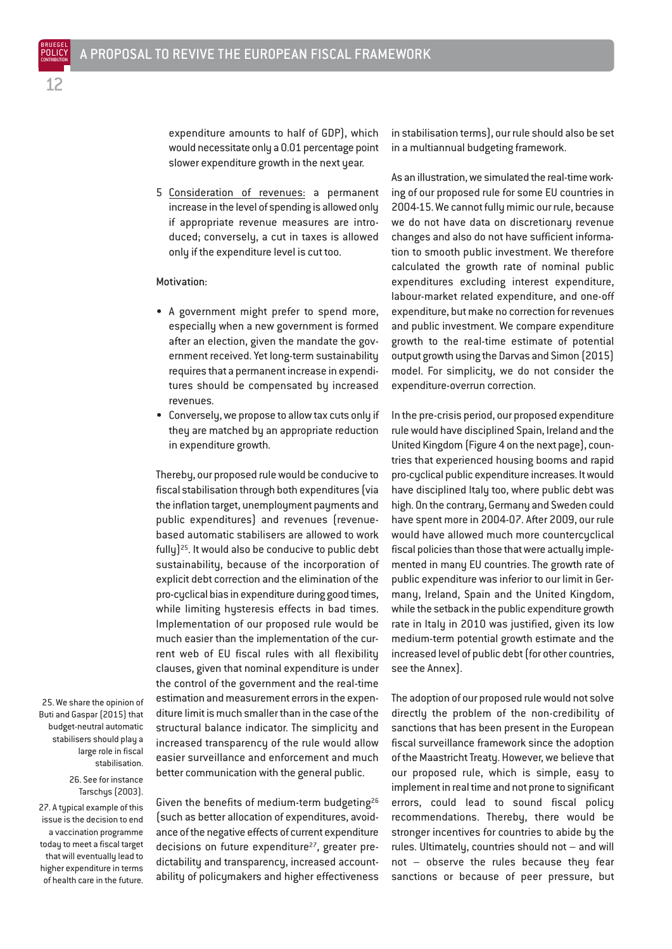expenditure amounts to half of GDP), which would necessitate only a 0.01 percentage point slower expenditure growth in the next year.

5 Consideration of revenues: a permanent increase in the level of spending is allowed only if appropriate revenue measures are introduced; conversely, a cut in taxes is allowed only if the expenditure level is cut too.

#### Motivation:

- A government might prefer to spend more, especially when a new government is formed after an election, given the mandate the government received. Yet long-term sustainability requires that a permanent increase in expenditures should be compensated by increased revenues.
- Conversely, we propose to allow tax cuts only if they are matched by an appropriate reduction in expenditure growth.

Thereby, our proposed rule would be conducive to fiscal stabilisation through both expenditures (via the inflation target, unemployment payments and public expenditures) and revenues (revenuebased automatic stabilisers are allowed to work fully)25. It would also be conducive to public debt sustainability, because of the incorporation of explicit debt correction and the elimination of the pro-cyclical bias in expenditure during good times, while limiting hysteresis effects in bad times. Implementation of our proposed rule would be much easier than the implementation of the current web of EU fiscal rules with all flexibility clauses, given that nominal expenditure is under the control of the government and the real-time estimation and measurement errors in the expenditure limit is much smaller than in the case of the structural balance indicator. The simplicity and increased transparency of the rule would allow easier surveillance and enforcement and much better communication with the general public.

25. We share the opinion of Buti and Gaspar (2015) that budget-neutral automatic stabilisers should play a large role in fiscal stabilisation.

26. See for instance Tarschys (2003). 27. A typical example of this issue is the decision to end

a vaccination programme today to meet a fiscal target that will eventually lead to higher expenditure in terms of health care in the future.

Given the benefits of medium-term budgeting26 (such as better allocation of expenditures, avoidance of the negative effects of current expenditure decisions on future expenditure<sup>27</sup>, greater predictability and transparency, increased accountability of policymakers and higher effectiveness in stabilisation terms), our rule should also be set in a multiannual budgeting framework.

As an illustration, we simulated the real-time working of our proposed rule for some EU countries in 2004-15. We cannot fully mimic our rule, because we do not have data on discretionary revenue changes and also do not have sufficient information to smooth public investment. We therefore calculated the growth rate of nominal public expenditures excluding interest expenditure, labour-market related expenditure, and one-off expenditure, but make no correction for revenues and public investment. We compare expenditure growth to the real-time estimate of potential output growth using the Darvas and Simon (2015) model. For simplicity, we do not consider the expenditure-overrun correction.

In the pre-crisis period, our proposed expenditure rule would have disciplined Spain, Ireland and the United Kingdom (Figure 4 on the next page), countries that experienced housing booms and rapid pro-cyclical public expenditure increases. It would have disciplined Italy too, where public debt was high. On the contrary, Germany and Sweden could have spent more in 2004-07. After 2009, our rule would have allowed much more countercyclical fiscal policies than those that were actually implemented in many EU countries. The growth rate of public expenditure was inferior to our limit in Germany, Ireland, Spain and the United Kingdom, while the setback in the public expenditure growth rate in Italy in 2010 was justified, given its low medium-term potential growth estimate and the increased level of public debt (for other countries, see the Annex).

The adoption of our proposed rule would not solve directly the problem of the non-credibility of sanctions that has been present in the European fiscal surveillance framework since the adoption of the Maastricht Treaty. However, we believe that our proposed rule, which is simple, easy to implement in real time and not prone to significant errors, could lead to sound fiscal policy recommendations. Thereby, there would be stronger incentives for countries to abide by the rules. Ultimately, countries should not – and will not – observe the rules because they fear sanctions or because of peer pressure, but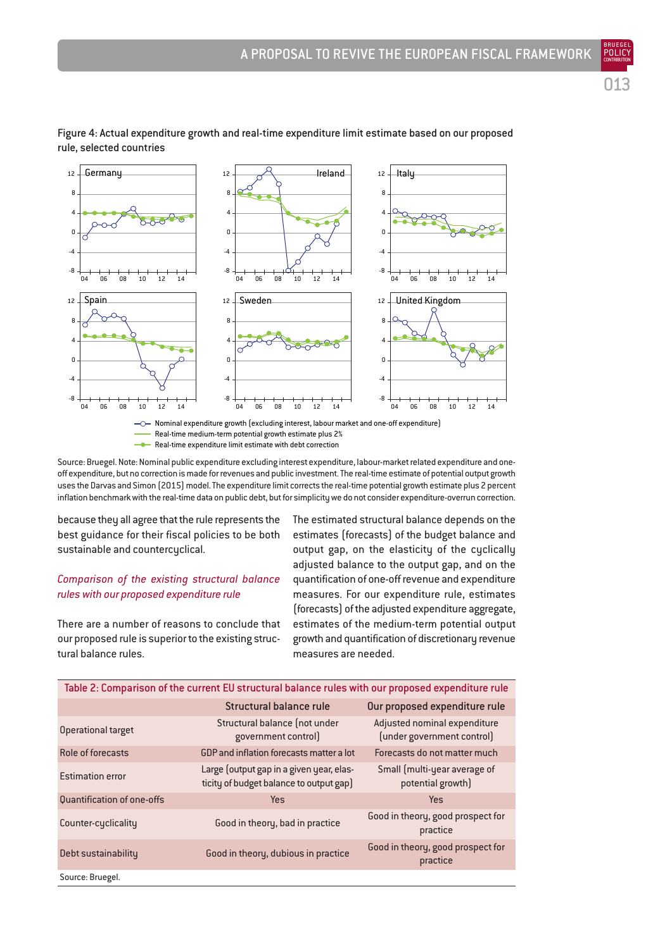013

BRUEGEL



Figure 4: Actual expenditure growth and real-time expenditure limit estimate based on our proposed rule, selected countries

**-** Real-time expenditure limit estimate with debt correction Source: Bruegel. Note: Nominal public expenditure excluding interest expenditure, labour-market related expenditure and one-

off expenditure, but no correction is made for revenues and public investment. The real-time estimate of potential output growth uses the Darvas and Simon (2015) model. The expenditure limit corrects the real-time potential growth estimate plus 2 percent inflation benchmark with the real-time data on public debt, but for simplicity we do not consider expenditure-overrun correction.

because they all agree that the rule represents the best guidance for their fiscal policies to be both sustainable and countercyclical.

# *Comparison of the existing structural balance rules with our proposed expenditure rule*

There are a number of reasons to conclude that our proposed rule is superior to the existing structural balance rules.

The estimated structural balance depends on the estimates (forecasts) of the budget balance and output gap, on the elasticity of the cyclically adjusted balance to the output gap, and on the quantification of one-off revenue and expenditure measures. For our expenditure rule, estimates (forecasts) of the adjusted expenditure aggregate, estimates of the medium-term potential output growth and quantification of discretionary revenue measures are needed.

| Table 2: Comparison of the current EU structural balance rules with our proposed expenditure rule |                                                                                     |                                                            |  |
|---------------------------------------------------------------------------------------------------|-------------------------------------------------------------------------------------|------------------------------------------------------------|--|
|                                                                                                   | Structural balance rule                                                             | Our proposed expenditure rule                              |  |
| <b>Operational target</b>                                                                         | Structural balance (not under<br>government control)                                | Adjusted nominal expenditure<br>(under government control) |  |
| Role of forecasts                                                                                 | GDP and inflation forecasts matter a lot                                            | Forecasts do not matter much                               |  |
| <b>Estimation error</b>                                                                           | Large (output gap in a given year, elas-<br>ticity of budget balance to output gap) | Small (multi-year average of<br>potential growth)          |  |
| <b>Quantification of one-offs</b>                                                                 | <b>Yes</b>                                                                          | Yes                                                        |  |
| Counter-cyclicality                                                                               | Good in theory, bad in practice                                                     | Good in theory, good prospect for<br>practice              |  |
| Debt sustainability                                                                               | Good in theory, dubious in practice                                                 | Good in theory, good prospect for<br>practice              |  |
| Source: Bruegel.                                                                                  |                                                                                     |                                                            |  |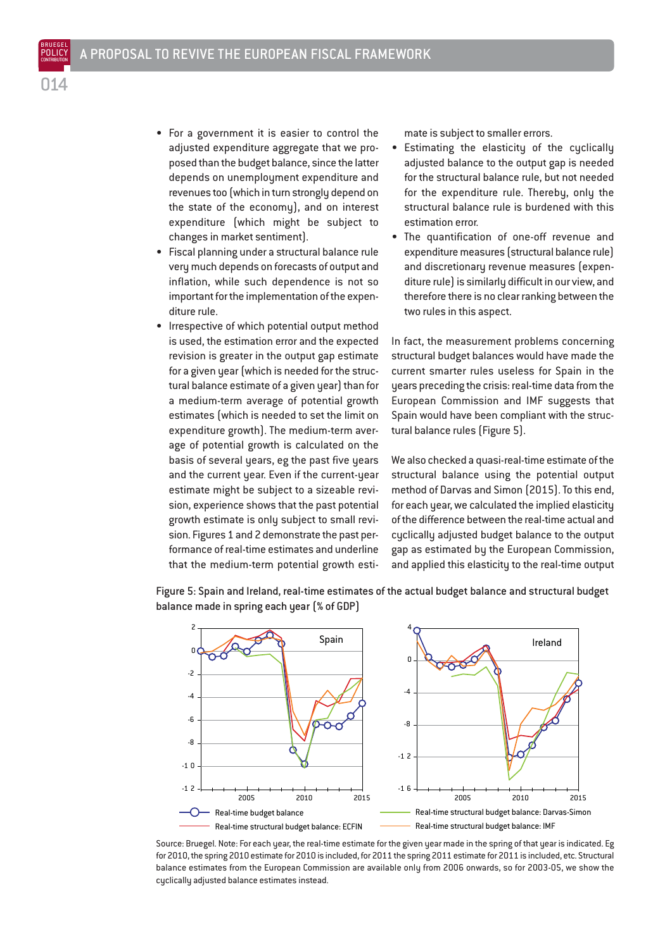- For a government it is easier to control the adjusted expenditure aggregate that we proposed than the budget balance, since the latter depends on unemployment expenditure and revenues too (which in turn strongly depend on the state of the economy), and on interest expenditure (which might be subject to changes in market sentiment).
- Fiscal planning under a structural balance rule very much depends on forecasts of output and inflation, while such dependence is not so important for the implementation of the expenditure rule.
- Irrespective of which potential output method is used, the estimation error and the expected revision is greater in the output gap estimate for a given year (which is needed for the structural balance estimate of a given year) than for a medium-term average of potential growth estimates (which is needed to set the limit on expenditure growth). The medium-term average of potential growth is calculated on the basis of several years, eg the past five years and the current year. Even if the current-year estimate might be subject to a sizeable revision, experience shows that the past potential growth estimate is only subject to small revision. Figures 1 and 2 demonstrate the past performance of real-time estimates and underline that the medium-term potential growth esti-

mate is subject to smaller errors.

- Estimating the elasticity of the cyclically adjusted balance to the output gap is needed for the structural balance rule, but not needed for the expenditure rule. Thereby, only the structural balance rule is burdened with this estimation error.
- The quantification of one-off revenue and expenditure measures (structural balance rule) and discretionary revenue measures (expenditure rule) is similarly difficult in our view, and therefore there is no clear ranking between the two rules in this aspect.

In fact, the measurement problems concerning structural budget balances would have made the current smarter rules useless for Spain in the years preceding the crisis: real-time data from the European Commission and IMF suggests that Spain would have been compliant with the structural balance rules (Figure 5).

We also checked a quasi-real-time estimate of the structural balance using the potential output method of Darvas and Simon (2015). To this end, for each year, we calculated the implied elasticity of the difference between the real-time actual and cyclically adjusted budget balance to the output gap as estimated by the European Commission, and applied this elasticity to the real-time output



Figure 5: Spain and Ireland, real-time estimates of the actual budget balance and structural budget balance made in spring each year (% of GDP)

Source: Bruegel. Note: For each year, the real-time estimate for the given year made in the spring of that year is indicated. Eg for 2010, the spring 2010 estimate for 2010 is included, for 2011 the spring 2011 estimate for 2011 is included, etc. Structural balance estimates from the European Commission are available only from 2006 onwards, so for 2003-05, we show the cyclically adjusted balance estimates instead.

BRUEGEL POLICY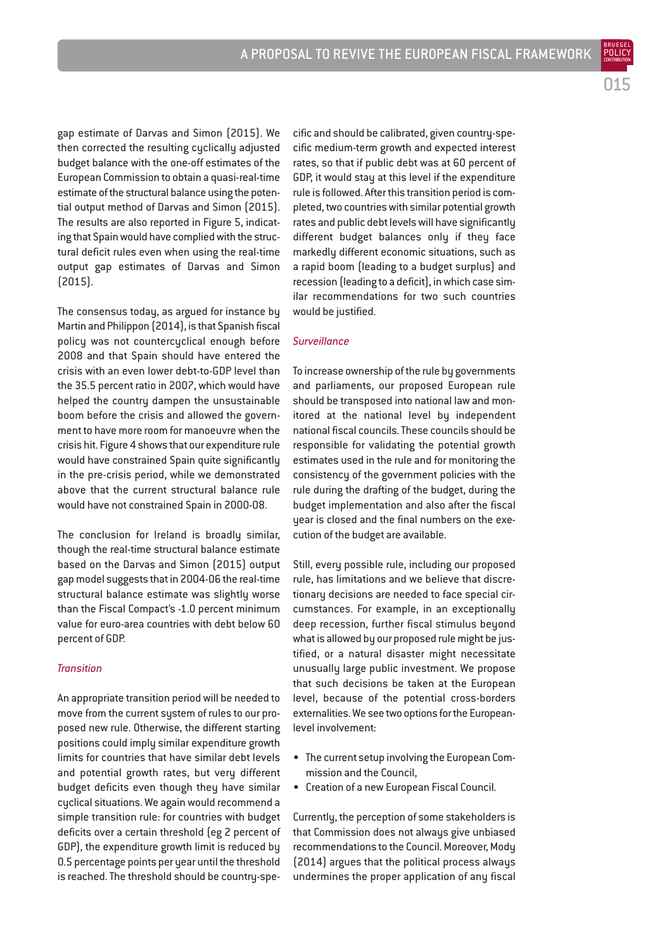BRUEGEL

gap estimate of Darvas and Simon (2015). We then corrected the resulting cyclically adjusted budget balance with the one-off estimates of the European Commission to obtain a quasi-real-time estimate of the structural balance using the potential output method of Darvas and Simon (2015). The results are also reported in Figure 5, indicating that Spain would have complied with the structural deficit rules even when using the real-time output gap estimates of Darvas and Simon (2015).

The consensus today, as argued for instance by Martin and Philippon (2014), is that Spanish fiscal policy was not countercyclical enough before 2008 and that Spain should have entered the crisis with an even lower debt-to-GDP level than the 35.5 percent ratio in 2007, which would have helped the country dampen the unsustainable boom before the crisis and allowed the government to have more room for manoeuvre when the crisis hit. Figure 4 shows that our expenditure rule would have constrained Spain quite significantly in the pre-crisis period, while we demonstrated above that the current structural balance rule would have not constrained Spain in 2000-08.

The conclusion for Ireland is broadly similar, though the real-time structural balance estimate based on the Darvas and Simon (2015) output gap model suggests that in 2004-06 the real-time structural balance estimate was slightly worse than the Fiscal Compact's -1.0 percent minimum value for euro-area countries with debt below 60 percent of GDP.

#### *Transition*

An appropriate transition period will be needed to move from the current system of rules to our proposed new rule. Otherwise, the different starting positions could imply similar expenditure growth limits for countries that have similar debt levels and potential growth rates, but very different budget deficits even though they have similar cyclical situations. We again would recommend a simple transition rule: for countries with budget deficits over a certain threshold (eg 2 percent of GDP), the expenditure growth limit is reduced by 0.5 percentage points per year until the threshold is reached. The threshold should be country-spe-

cific and should be calibrated, given country-specific medium-term growth and expected interest rates, so that if public debt was at 60 percent of GDP, it would stay at this level if the expenditure rule is followed. After this transition period is completed, two countries with similar potential growth rates and public debt levels will have significantly different budget balances only if they face markedly different economic situations, such as a rapid boom (leading to a budget surplus) and recession (leading to a deficit), in which case similar recommendations for two such countries would be justified.

#### *Surveillance*

To increase ownership of the rule by governments and parliaments, our proposed European rule should be transposed into national law and monitored at the national level by independent national fiscal councils. These councils should be responsible for validating the potential growth estimates used in the rule and for monitoring the consistency of the government policies with the rule during the drafting of the budget, during the budget implementation and also after the fiscal year is closed and the final numbers on the execution of the budget are available.

Still, every possible rule, including our proposed rule, has limitations and we believe that discretionary decisions are needed to face special circumstances. For example, in an exceptionally deep recession, further fiscal stimulus beyond what is allowed by our proposed rule might be justified, or a natural disaster might necessitate unusually large public investment. We propose that such decisions be taken at the European level, because of the potential cross-borders externalities. We see two options for the Europeanlevel involvement:

- The current setup involving the European Commission and the Council,
- Creation of a new European Fiscal Council.

Currently, the perception of some stakeholders is that Commission does not always give unbiased recommendations to the Council. Moreover, Mody (2014) argues that the political process always undermines the proper application of any fiscal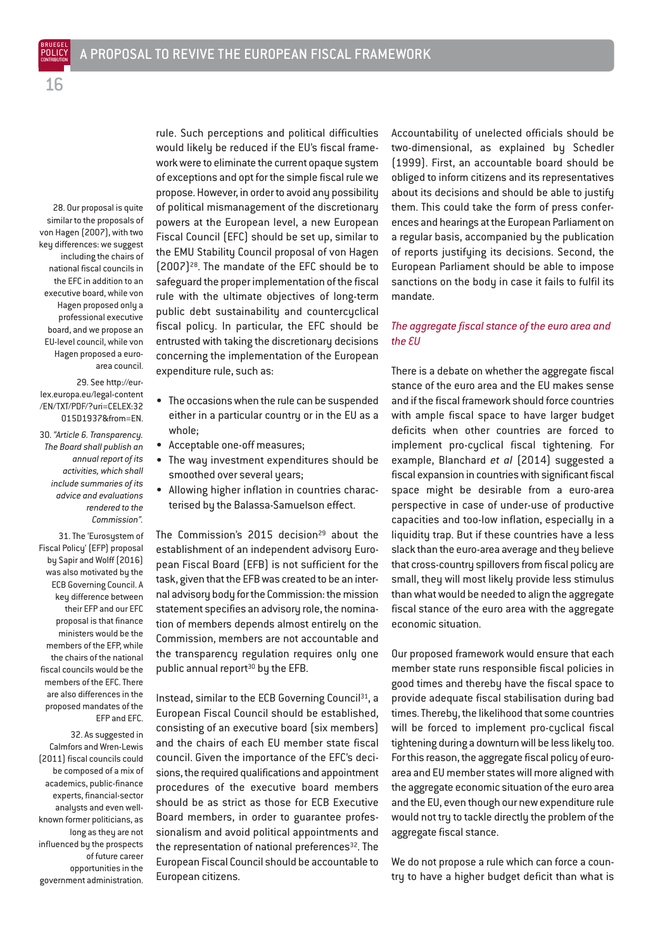28. Our proposal is quite similar to the proposals of von Hagen (2007), with two key differences: we suggest including the chairs of national fiscal councils in the EFC in addition to an executive board, while von Hagen proposed only a professional executive board, and we propose an EU-level council, while von Hagen proposed a euroarea council.

29. See http://eurlex.europa.eu/legal-content /EN/TXT/PDF/?uri=CELEX:32 015D1937&from=EN.

30. *"Article 6. Transparency. The Board shall publish an annual report of its activities, which shall include summaries of its advice and evaluations rendered to the Commission".*

31. The 'Eurosystem of Fiscal Policy' (EFP) proposal by Sapir and Wolff (2016) was also motivated by the ECB Governing Council. A key difference between their EFP and our EFC proposal is that finance ministers would be the members of the EFP, while the chairs of the national fiscal councils would be the members of the EFC. There are also differences in the proposed mandates of the EFP and EFC.

32. As suggested in Calmfors and Wren-Lewis (2011) fiscal councils could be composed of a mix of academics, public-finance experts, financial-sector analysts and even wellknown former politicians, as long as they are not influenced by the prospects of future career opportunities in the government administration.

rule. Such perceptions and political difficulties would likely be reduced if the EU's fiscal framework were to eliminate the current opaque system of exceptions and opt for the simple fiscal rule we propose. However, in order to avoid any possibility of political mismanagement of the discretionary powers at the European level, a new European Fiscal Council (EFC) should be set up, similar to the EMU Stability Council proposal of von Hagen (2007)28. The mandate of the EFC should be to safeguard the proper implementation of the fiscal rule with the ultimate objectives of long-term public debt sustainability and countercyclical fiscal policy. In particular, the EFC should be entrusted with taking the discretionary decisions concerning the implementation of the European expenditure rule, such as:

- The occasions when the rule can be suspended either in a particular country or in the EU as a whole;
- Acceptable one-off measures;
- The way investment expenditures should be smoothed over several years;
- Allowing higher inflation in countries characterised by the Balassa-Samuelson effect.

The Commission's 2015 decision<sup>29</sup> about the establishment of an independent advisory European Fiscal Board (EFB) is not sufficient for the task, given that the EFB was created to be an internal advisory body for the Commission: the mission statement specifies an advisory role, the nomination of members depends almost entirely on the Commission, members are not accountable and the transparency regulation requires only one public annual report<sup>30</sup> by the EFB.

Instead, similar to the ECB Governing Council<sup>31</sup>, a European Fiscal Council should be established, consisting of an executive board (six members) and the chairs of each EU member state fiscal council. Given the importance of the EFC's decisions, the required qualifications and appointment procedures of the executive board members should be as strict as those for ECB Executive Board members, in order to guarantee professionalism and avoid political appointments and the representation of national preferences $32$ . The European Fiscal Council should be accountable to European citizens.

Accountability of unelected officials should be two-dimensional, as explained by Schedler (1999). First, an accountable board should be obliged to inform citizens and its representatives about its decisions and should be able to justify them. This could take the form of press conferences and hearings at the European Parliament on a regular basis, accompanied by the publication of reports justifying its decisions. Second, the European Parliament should be able to impose sanctions on the body in case it fails to fulfil its mandate.

# *The aggregate fiscal stance of the euro area and the EU*

There is a debate on whether the aggregate fiscal stance of the euro area and the EU makes sense and if the fiscal framework should force countries with ample fiscal space to have larger budget deficits when other countries are forced to implement pro-cyclical fiscal tightening. For example, Blanchard *et al* (2014) suggested a fiscal expansion in countries with significant fiscal space might be desirable from a euro-area perspective in case of under-use of productive capacities and too-low inflation, especially in a liquidity trap. But if these countries have a less slack than the euro-area average and they believe that cross-country spillovers from fiscal policy are small, they will most likely provide less stimulus than what would be needed to align the aggregate fiscal stance of the euro area with the aggregate economic situation.

Our proposed framework would ensure that each member state runs responsible fiscal policies in good times and thereby have the fiscal space to provide adequate fiscal stabilisation during bad times. Thereby, the likelihood that some countries will be forced to implement pro-cyclical fiscal tightening during a downturn will be less likely too. For this reason, the aggregate fiscal policy of euroarea and EU member states will more aligned with the aggregate economic situation of the euro area and the EU, even though our new expenditure rule would not try to tackle directly the problem of the aggregate fiscal stance.

We do not propose a rule which can force a country to have a higher budget deficit than what is

16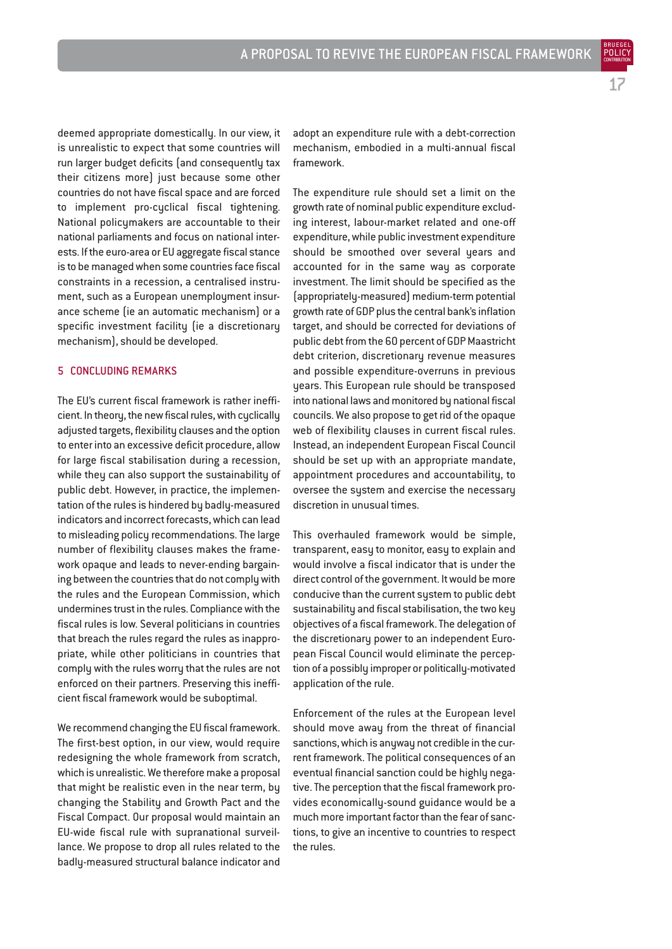17

BRUEGEL

deemed appropriate domestically. In our view, it is unrealistic to expect that some countries will run larger budget deficits (and consequently tax their citizens more) just because some other countries do not have fiscal space and are forced to implement pro-cyclical fiscal tightening. National policymakers are accountable to their national parliaments and focus on national interests. If the euro-area or EU aggregate fiscal stance is to be managed when some countries face fiscal

constraints in a recession, a centralised instrument, such as a European unemployment insurance scheme (ie an automatic mechanism) or a specific investment facility (ie a discretionary mechanism), should be developed.

# 5 CONCLUDING REMARKS

The EU's current fiscal framework is rather inefficient. In theory, the new fiscal rules, with cyclically adjusted targets, flexibility clauses and the option to enter into an excessive deficit procedure, allow for large fiscal stabilisation during a recession, while they can also support the sustainability of public debt. However, in practice, the implementation of the rules is hindered by badly-measured indicators and incorrect forecasts, which can lead to misleading policy recommendations. The large number of flexibility clauses makes the framework opaque and leads to never-ending bargaining between the countries that do not comply with the rules and the European Commission, which undermines trust in the rules. Compliance with the fiscal rules is low. Several politicians in countries that breach the rules regard the rules as inappropriate, while other politicians in countries that comply with the rules worry that the rules are not enforced on their partners. Preserving this inefficient fiscal framework would be suboptimal.

We recommend changing the EU fiscal framework. The first-best option, in our view, would require redesigning the whole framework from scratch, which is unrealistic. We therefore make a proposal that might be realistic even in the near term, by changing the Stability and Growth Pact and the Fiscal Compact. Our proposal would maintain an EU-wide fiscal rule with supranational surveillance. We propose to drop all rules related to the badly-measured structural balance indicator and

adopt an expenditure rule with a debt-correction mechanism, embodied in a multi-annual fiscal framework.

The expenditure rule should set a limit on the growth rate of nominal public expenditure excluding interest, labour-market related and one-off expenditure, while public investment expenditure should be smoothed over several years and accounted for in the same way as corporate investment. The limit should be specified as the (appropriately-measured) medium-term potential growth rate of GDP plus the central bank's inflation target, and should be corrected for deviations of public debt from the 60 percent of GDP Maastricht debt criterion, discretionary revenue measures and possible expenditure-overruns in previous years. This European rule should be transposed into national laws and monitored by national fiscal councils. We also propose to get rid of the opaque web of flexibility clauses in current fiscal rules. Instead, an independent European Fiscal Council should be set up with an appropriate mandate, appointment procedures and accountability, to oversee the sustem and exercise the necessary discretion in unusual times.

This overhauled framework would be simple, transparent, easy to monitor, easy to explain and would involve a fiscal indicator that is under the direct control of the government. It would be more conducive than the current system to public debt sustainability and fiscal stabilisation, the two key objectives of a fiscal framework. The delegation of the discretionary power to an independent European Fiscal Council would eliminate the perception of a possibly improper or politically-motivated application of the rule.

Enforcement of the rules at the European level should move away from the threat of financial sanctions, which is anyway not credible in the current framework. The political consequences of an eventual financial sanction could be highly negative. The perception that the fiscal framework provides economically-sound guidance would be a much more important factor than the fear of sanctions, to give an incentive to countries to respect the rules.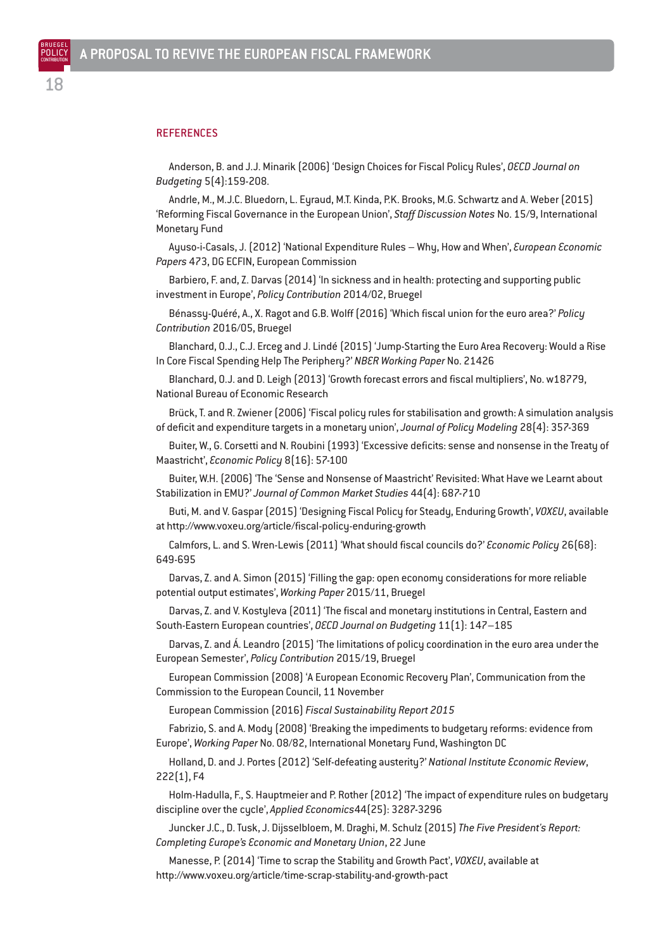# **REFERENCES**

Anderson, B. and J.J. Minarik (2006) 'Design Choices for Fiscal Policy Rules', *OECD Journal on Budgeting* 5(4):159-208.

Andrle, M., M.J.C. Bluedorn, L. Eyraud, M.T. Kinda, P.K. Brooks, M.G. Schwartz and A. Weber (2015) 'Reforming Fiscal Governance in the European Union', *Staff Discussion Notes* No. 15/9, International Monetary Fund

Ayuso-i-Casals, J. (2012) 'National Expenditure Rules – Why, How and When', *European Economic Papers* 473, DG ECFIN, European Commission

Barbiero, F. and, Z. Darvas (2014) 'In sickness and in health: protecting and supporting public investment in Europe', *Policy Contribution* 2014/02, Bruegel

Bénassy-Quéré, A., X. Ragot and G.B. Wolff (2016) 'Which fiscal union for the euro area?' *Policy Contribution* 2016/05, Bruegel

Blanchard, O.J., C.J. Erceg and J. Lindé (2015) 'Jump-Starting the Euro Area Recovery: Would a Rise In Core Fiscal Spending Help The Periphery?' *NBER Working Paper* No. 21426

Blanchard, O.J. and D. Leigh (2013) 'Growth forecast errors and fiscal multipliers', No. w18779, National Bureau of Economic Research

Brück, T. and R. Zwiener (2006) 'Fiscal policy rules for stabilisation and growth: A simulation analysis of deficit and expenditure targets in a monetary union', *Journal of Policy Modeling* 28(4): 357-369

Buiter, W., G. Corsetti and N. Roubini (1993) 'Excessive deficits: sense and nonsense in the Treaty of Maastricht', *Economic Policy* 8(16): 57-100

Buiter, W.H. (2006) 'The 'Sense and Nonsense of Maastricht' Revisited: What Have we Learnt about Stabilization in EMU?' *Journal of Common Market Studies* 44(4): 687-710

Buti, M. and V. Gaspar (2015) 'Designing Fiscal Policy for Steady, Enduring Growth', *VOXEU*, available at http://www.voxeu.org/article/fiscal-policy-enduring-growth

Calmfors, L. and S. Wren-Lewis (2011) 'What should fiscal councils do?' *Economic Policy* 26(68): 649-695

Darvas, Z. and A. Simon (2015) 'Filling the gap: open economy considerations for more reliable potential output estimates', *Working Paper* 2015/11, Bruegel

Darvas, Z. and V. Kostyleva (2011) 'The fiscal and monetary institutions in Central, Eastern and South-Eastern European countries', *OECD Journal on Budgeting* 11(1): 147–185

Darvas, Z. and Á. Leandro (2015) 'The limitations of policy coordination in the euro area under the European Semester', *Policy Contribution* 2015/19, Bruegel

European Commission (2008) 'A European Economic Recovery Plan', Communication from the Commission to the European Council, 11 November

European Commission (2016) *Fiscal Sustainability Report 2015*

Fabrizio, S. and A. Mody (2008) 'Breaking the impediments to budgetary reforms: evidence from Europe', *Working Paper* No. 08/82, International Monetary Fund, Washington DC

Holland, D. and J. Portes (2012) 'Self-defeating austerity?' *National Institute Economic Review*, 222(1), F4

Holm-Hadulla, F., S. Hauptmeier and P. Rother (2012) 'The impact of expenditure rules on budgetary discipline over the cycle', *Applied Economics*44(25): 3287-3296

Juncker J.C., D. Tusk, J. Dijsselbloem, M. Draghi, M. Schulz (2015) *The Five President's Report: Completing Europe's Economic and Monetary Union*, 22 June

Manesse, P. (2014) 'Time to scrap the Stability and Growth Pact', *VOXEU*, available at http://www.voxeu.org/article/time-scrap-stability-and-growth-pact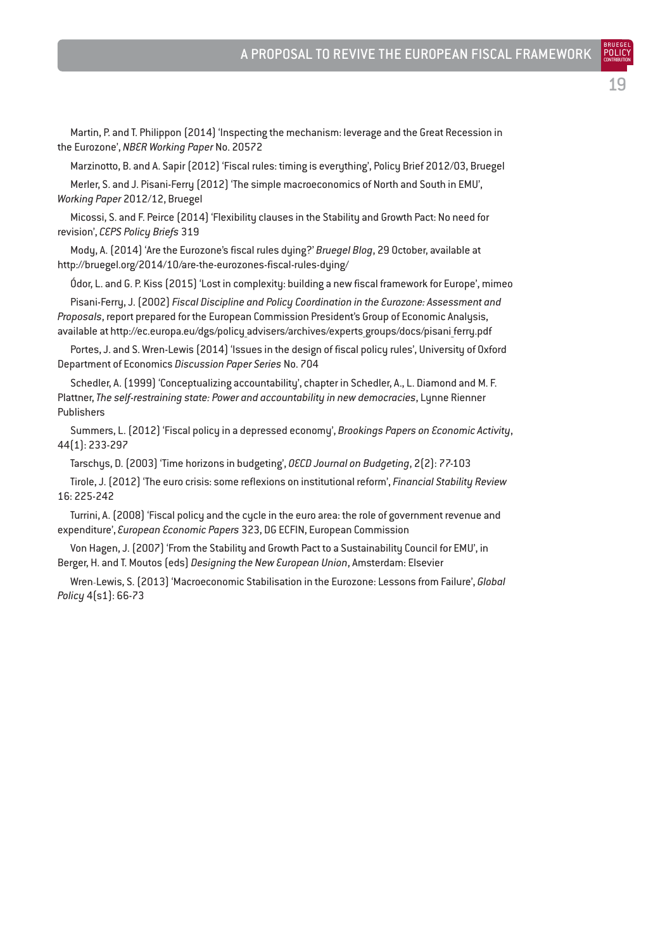Martin, P. and T. Philippon (2014) 'Inspecting the mechanism: leverage and the Great Recession in the Eurozone', *NBER Working Paper* No. 20572

Marzinotto, B. and A. Sapir (2012) 'Fiscal rules: timing is everything', Policy Brief 2012/03, Bruegel

Merler, S. and J. Pisani-Ferry (2012) 'The simple macroeconomics of North and South in EMU', *Working Paper* 2012/12, Bruegel

Micossi, S. and F. Peirce (2014) 'Flexibility clauses in the Stability and Growth Pact: No need for revision', *CEPS Policy Briefs* 319

Mody, A. (2014) 'Are the Eurozone's fiscal rules dying?' *Bruegel Blog*, 29 October, available at http://bruegel.org/2014/10/are-the-eurozones-fiscal-rules-dying/

Ódor, L. and G. P. Kiss (2015) 'Lost in complexity: building a new fiscal framework for Europe', mimeo

Pisani-Ferry, J. (2002) *Fiscal Discipline and Policy Coordination in the Eurozone: Assessment and Proposals*, report prepared for the European Commission President's Group of Economic Analysis, available at http://ec.europa.eu/dgs/policy advisers/archives/experts groups/docs/pisani ferry.pdf

Portes, J. and S. Wren-Lewis (2014) 'Issues in the design of fiscal policy rules', University of Oxford Department of Economics *Discussion Paper Series* No. 704

Schedler, A. (1999) 'Conceptualizing accountability', chapter in Schedler, A., L. Diamond and M. F. Plattner, *The self-restraining state: Power and accountability in new democracies*, Lynne Rienner Publishers

Summers, L. (2012) 'Fiscal policy in a depressed economy', *Brookings Papers on Economic Activity*, 44(1): 233-297

Tarschys, D. (2003) 'Time horizons in budgeting', *OECD Journal on Budgeting*, 2(2): 77-103

Tirole, J. (2012) 'The euro crisis: some reflexions on institutional reform', *Financial Stability Review* 16: 225-242

Turrini, A. (2008) 'Fiscal policy and the cycle in the euro area: the role of government revenue and expenditure', *European Economic Papers* 323, DG ECFIN, European Commission

Von Hagen, J. (2007) 'From the Stability and Growth Pact to a Sustainability Council for EMU', in Berger, H. and T. Moutos (eds) *Designing the New European Union*, Amsterdam: Elsevier

Wren‐Lewis, S. (2013) 'Macroeconomic Stabilisation in the Eurozone: Lessons from Failure', *Global Policy* 4(s1): 66-73

19

BRUEGEL